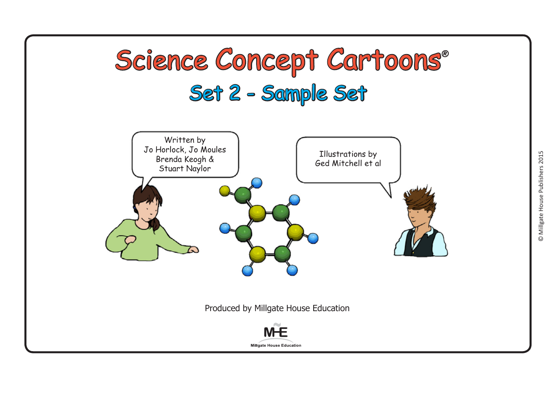

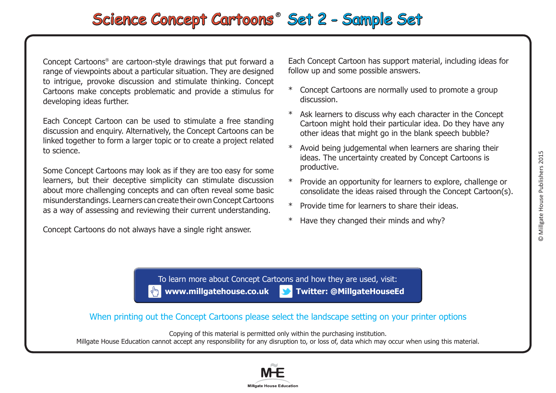## Science Concept Cartoons ® Set 2 - Sample Set

Concept Cartoons® are cartoon-style drawings that put forward a range of viewpoints about a particular situation. They are designed to intrigue, provoke discussion and stimulate thinking. Concept Cartoons make concepts problematic and provide a stimulus for developing ideas further.

Each Concept Cartoon can be used to stimulate a free standing discussion and enquiry. Alternatively, the Concept Cartoons can be linked together to form a larger topic or to create a project related to science.

Some Concept Cartoons may look as if they are too easy for some learners, but their deceptive simplicity can stimulate discussion about more challenging concepts and can often reveal some basic misunderstandings. Learners can create their own Concept Cartoons as a way of assessing and reviewing their current understanding.

Concept Cartoons do not always have a single right answer.

Each Concept Cartoon has support material, including ideas for follow up and some possible answers.

- \* Concept Cartoons are normally used to promote a group discussion.
- Ask learners to discuss why each character in the Concept Cartoon might hold their particular idea. Do they have any other ideas that might go in the blank speech bubble?
- Avoid being judgemental when learners are sharing their ideas. The uncertainty created by Concept Cartoons is productive.
- \* Provide an opportunity for learners to explore, challenge or consolidate the ideas raised through the Concept Cartoon(s).
- \* Provide time for learners to share their ideas.
- Have they changed their minds and why?

To learn more about Concept Cartoons and how they are used, visit: **<www.millgatehouse.co.uk> Twitter: @MillgateHouseEd**

When printing out the Concept Cartoons please select the landscape setting on your printer options

Copying of this material is permitted only within the purchasing institution.

Millgate House Education cannot accept any responsibility for any disruption to, or loss of, data which may occur when using this material.

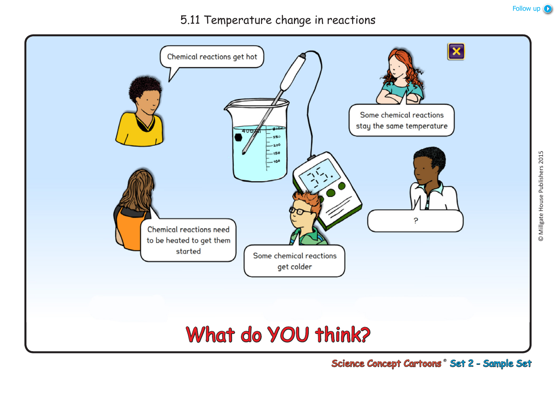## 5.11 Temperature change in reactions



[Follow up](#page-3-0) (D)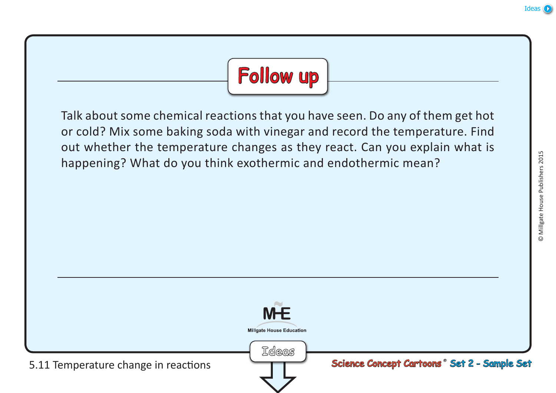## <span id="page-3-0"></span>Follow up Talk about some chemical reactions that you have seen. Do any of them get hot or cold? Mix some baking soda with vinegar and record the temperature. Find out whether the temperature changes as they react. Can you explain what is happening? What do you think exothermic and endothermic mean? **Millgate House Education**

5.11 Temperature change in reactions

Science Concept Cartoons ® Set 2 - Sample Set

[Ideas](#page-4-0)